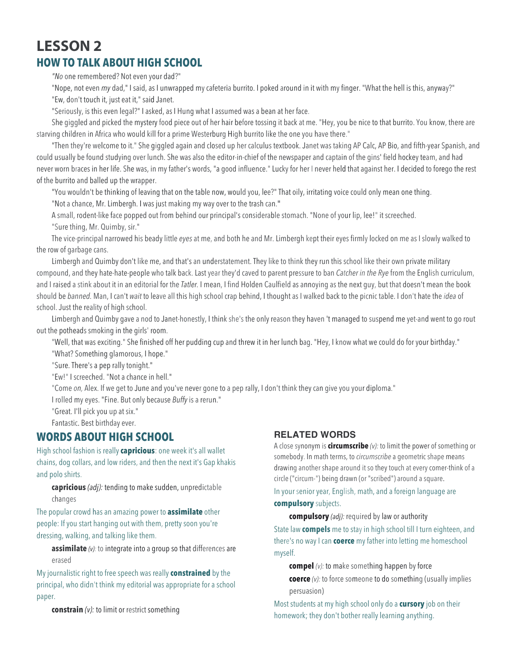# **LESSON 2 HOW TO TALK ABOUT HIGH SCHOOL**

*"No* one remembered? Not even your dad?"

"Nope, not even *my* dad," I said, as I unwrapped my cafeteria burrito. I poked around in it with my finger. "What the hell is this, anyway?" "Ew, don't touch it, just eat it," said Janet.

"Seriously, is this even legal?" I asked, as I Hung what I assumed was a bean at her face.

She giggled and picked the mystery food piece out of her hair before tossing it back at me. "Hey, you be nice to that burrito. You know, there are starving children in Africa who would kill for a prime Westerburg High burrito like the one you have there."

"Then they're welcome to it." She giggled again and closed up her calculus textbook. Janet was taking AP Calc, AP Bio, and fifth-year Spanish, and could usually be found studying over lunch. She was also the editor-in-chief of the newspaper and captain of the gins' field hockey team, and had never worn braces in her life. She was, in my father's words, "a good influence." Lucky for her I never held that against her. I decided to forego the rest of the burrito and balled up the wrapper.

"You wouldn't be thinking of leaving that on the table now, would you, lee?" That oily, irritating voice could only mean one thing. "Not a chance, Mr. Limbergh. I was just making my way over to the trash can.**"**

A small, rodent-like face popped out from behind our principal's considerable stomach. "None of your lip, lee!" it screeched. "Sure thing, Mr. Quimby, sir."

The vice-principal narrowed his beady little *eyes* at me, and both he and Mr. Limbergh kept their eyes firmly locked on me as I slowly walked to the row of garbage cans.

Limbergh and Quimby don't like me, and that's an understatement. They like to think they run this school like their own private military compound, and they hate-hate-people who talk back. Last year they'd caved to parent pressure to ban *Catcher in the Rye* from the English curriculum, and I raised a stink about it in an editorial for the *Tatler.* I mean, I find Holden Caulfield as annoying as the next guy, but that doesn't mean the book should be *banned.* Man, I can't *wait* to leave all this high school crap behind, I thought as I walked back to the picnic table. I don't hate the *idea* of school. Just the reality of high school.

Limbergh and Quimby gave a nod to Janet-honestly, I think she's the only reason they haven 't managed to suspend me yet-and went to go rout out the potheads smoking in the girls' room.

"Well, that was exciting." She finished off her pudding cup and threw it in her lunch bag. "Hey, I know what we could do for your birthday." "What? Something glamorous, I hope."

"Sure. There's a pep rally tonight."

"Ew!" I screeched. "Not a chance in hell."

"Come *on,* Alex. If we get to June and you've never gone to a pep rally, I don't think they can give you your diploma."

I rolled my eyes. "Fine. But only because *Buffy* is a rerun."

"Great. I'll pick you up at six."

Fantastic. Best birthday ever.

# **WORDS ABOUT HIGH SCHOOL**

High school fashion is really **capricious**: one week it's all wallet chains, dog collars, and low riders, and then the next it's Gap khakis and polo shirts.

**capricious** *(adj):* tending to make sudden, unpredictable changes

The popular crowd has an amazing power to **assimilate** other people: If you start hanging out with them, pretty soon you're dressing, walking, and talking like them.

**assimilate** *(v):* to integrate into a group so that differences are erased

My journalistic right to free speech was really **constrained** by the principal, who didn't think my editorial was appropriate for a school paper.

**constrain** *(v):* to limit or restrict something

### **RELATED WORDS**

A close synonym is **circumscribe** *(v):* to limit the power of something or somebody. In math terms, to *circumscribe* a geometric shape means drawing another shape around it so they touch at every comer-think of a circle ("circum-") being drawn (or "scribed") around a square. In your senior year, English, math, and a foreign language are **compulsory** subjects.

**compulsory** *(adj):* required by law or authority

State law **compels** me to stay in high school till I turn eighteen, and there's no way I can **coerce** my father into letting me homeschool myself.

**compel** *(v):* to make something happen by force

**coerce** *(v):* to force someone to do something (usually implies persuasion)

Most students at my high school only do a **cursory** job on their homework; they don't bother really learning anything.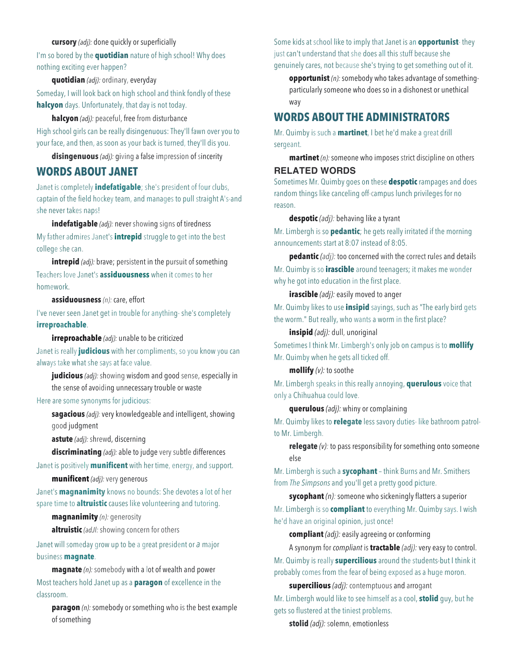#### **cursory** *(adj):* done quickly or superficially

I'm so bored by the **quotidian** nature of high school! Why does nothing exciting ever happen?

#### **quotidian** *(adj):* ordinary, everyday

Someday, I will look back on high school and think fondly of these **halcyon** days. Unfortunately, that day is not today.

**halcyon** *(adj):* peaceful, free from disturbance

High school girls can be really disingenuous: They'll fawn over you to your face, and then, as soon as your back is turned, they'll dis you.

**disingenuous** *(adj):* giving a false impression of sincerity

### **WORDS ABOUT JANET**

Janet is completely **indefatigable**; she's president of four clubs, captain of the field hockey team, and manages to pull straight A's-and she never takes naps!

**indefatigable** *(adj):* never showing signs of tiredness My father admires Janet's **intrepid** struggle to get into the best college she can.

**intrepid** *(adj)*: brave; persistent in the pursuit of something Teachers love Janet's **assiduousness** when it comes to her homework.

#### **assiduousness** *(n):* care, effort

I've never seen Janet get in trouble for anything- she's completely **irreproachable**.

**irreproachable** *(adj):* unable to be criticized

Janet is really **judicious** with her compliments, so you know you can always take what she says at face value.

**judicious** *(adj):* showing wisdom and good sense, especially in the sense of avoiding unnecessary trouble or waste

#### Here are some synonyms for judicious:

**sagacious** *(adj):* very knowledgeable and intelligent, showing good judgment

**astute** *(adj):* shrewd, discerning

**discriminating** *(adj):* able to judge very subtle differences

Janet is positively **munificent** with her time, energy, and support.

**munificent** *(adj):* very generous

Janet's **magnanimity** knows no bounds: She devotes a lot of her spare time to **altruistic** causes like volunteering and tutoring.

**magnanimity** *(n):* generosity

**altruistic** *(adJl:* showing concern for others

Janet will someday grow up to be a great president or *a* major business **magnate**.

**magnate** *(n):* somebody with a lot of wealth and power Most teachers hold Janet up as a **paragon** of excellence in the classroom.

**paragon** *(n):* somebody or something who is the best example of something

Some kids at school like to imply that Janet is an **opportunist**- they just can't understand that she does all this stuff because she genuinely cares, not because she's trying to get something out of it.

**opportunist** *(n):* somebody who takes advantage of somethingparticularly someone who does so in a dishonest or unethical way

### **WORDS ABOUT THE ADMINISTRATORS**

Mr. Quimby is such a **martinet**, I bet he'd make a great drill sergeant.

**martinet** *(n):* someone who imposes strict discipline on others

# **RELATED WORDS**

Sometimes Mr. Quimby goes on these **despotic** rampages and does random things like canceling off-campus lunch privileges for no reason.

**despotic** *(adj):* behaving like a tyrant

Mr. Limbergh is so **pedantic**; he gets really irritated if the morning announcements start at 8:07 instead of 8:05.

**pedantic** *(adj):* too concerned with the correct rules and details Mr. Quimby is so **irascible** around teenagers; it makes me wonder why he got into education in the first place.

#### **irascible** *(adj):* easily moved to anger

Mr. Quimby likes to use **insipid** sayings, such as "The early bird gets the worm." But really, who wants a worm in the first place?

**insipid** *(adj):* dull, unoriginal

Sometimes I think Mr. Limbergh's only job on campus is to **mollify** Mr. Quimby when he gets all ticked off.

#### **mollify** *(v):* to soothe

Mr. Limbergh speaks in this really annoying, **querulous** voice that only a Chihuahua could love.

#### **querulous** *(adj):* whiny or complaining

Mr. Quimby likes to **relegate** less savory duties- like bathroom patrolto Mr. Limbergh.

**relegate** *(v):* to pass responsibility for something onto someone else

Mr. Limbergh is such a **sycophant** – think Burns and Mr. Smithers from *The Simpsons* and you'll get a pretty good picture.

**sycophant** *(n):* someone who sickeningly flatters a superior Mr. Limbergh is so **compliant** to everything Mr. Quimby says. I wish he'd have an original opinion, just once!

**compliant** *(adj):* easily agreeing or conforming

A synonym for *compliant* is **tractable** *(adj):* very easy to control. Mr. Quimby is really **supercilious** around the students-but I think it probably comes from the fear of being exposed as a huge moron.

**supercilious** *(adj):* contemptuous and arrogant

Mr. Limbergh would like to see himself as a cool, **stolid** guy, but he gets so flustered at the tiniest problems.

**stolid** *(adj):* solemn, emotionless